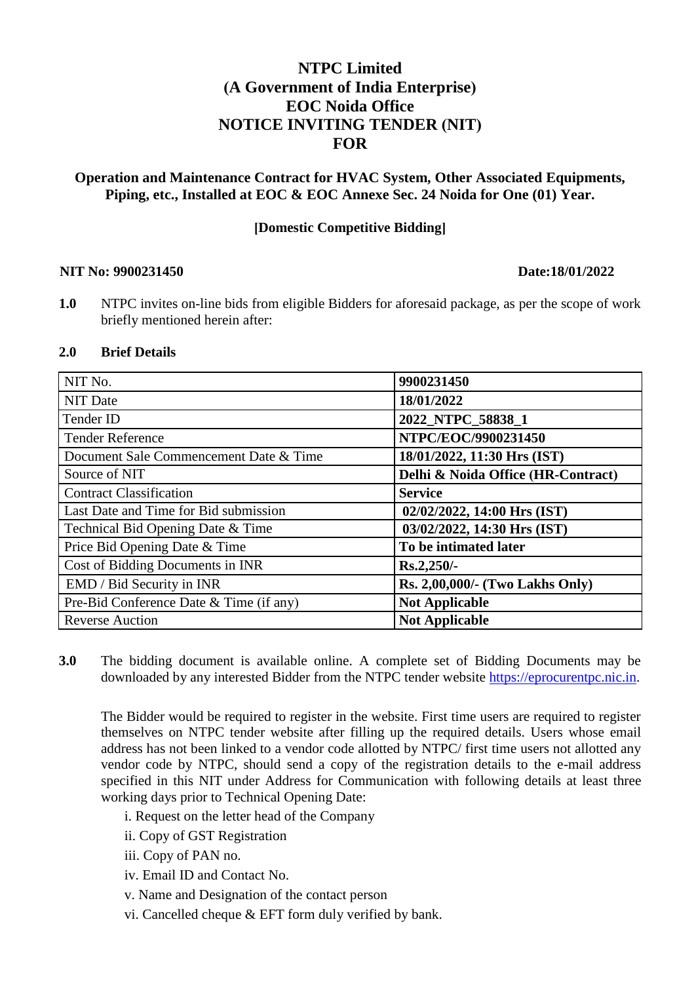# **NTPC Limited (A Government of India Enterprise) EOC Noida Office NOTICE INVITING TENDER (NIT) FOR**

## **Operation and Maintenance Contract for HVAC System, Other Associated Equipments, Piping, etc., Installed at EOC & EOC Annexe Sec. 24 Noida for One (01) Year.**

## **[Domestic Competitive Bidding]**

#### **NIT No: 9900231450 Date:18/01/2022**

**1.0** NTPC invites on-line bids from eligible Bidders for aforesaid package, as per the scope of work briefly mentioned herein after:

### **2.0 Brief Details**

| NIT No.                                 | 9900231450                         |
|-----------------------------------------|------------------------------------|
| <b>NIT Date</b>                         | 18/01/2022                         |
| Tender ID                               | 2022_NTPC_58838_1                  |
| <b>Tender Reference</b>                 | NTPC/EOC/9900231450                |
| Document Sale Commencement Date & Time  | 18/01/2022, 11:30 Hrs (IST)        |
| Source of NIT                           | Delhi & Noida Office (HR-Contract) |
| <b>Contract Classification</b>          | <b>Service</b>                     |
| Last Date and Time for Bid submission   | 02/02/2022, 14:00 Hrs (IST)        |
| Technical Bid Opening Date & Time       | 03/02/2022, 14:30 Hrs (IST)        |
| Price Bid Opening Date & Time           | To be intimated later              |
| Cost of Bidding Documents in INR        | Rs.2,250/-                         |
| EMD / Bid Security in INR               | Rs. 2,00,000/- (Two Lakhs Only)    |
| Pre-Bid Conference Date & Time (if any) | <b>Not Applicable</b>              |
| <b>Reverse Auction</b>                  | <b>Not Applicable</b>              |

**3.0** The bidding document is available online. A complete set of Bidding Documents may be downloaded by any interested Bidder from the NTPC tender website [https://eprocurentpc.nic.in.](https://eprocurentpc.nic.in/)

The Bidder would be required to register in the website. First time users are required to register themselves on NTPC tender website after filling up the required details. Users whose email address has not been linked to a vendor code allotted by NTPC/ first time users not allotted any vendor code by NTPC, should send a copy of the registration details to the e-mail address specified in this NIT under Address for Communication with following details at least three working days prior to Technical Opening Date:

i. Request on the letter head of the Company

ii. Copy of GST Registration

iii. Copy of PAN no.

iv. Email ID and Contact No.

v. Name and Designation of the contact person

vi. Cancelled cheque & EFT form duly verified by bank.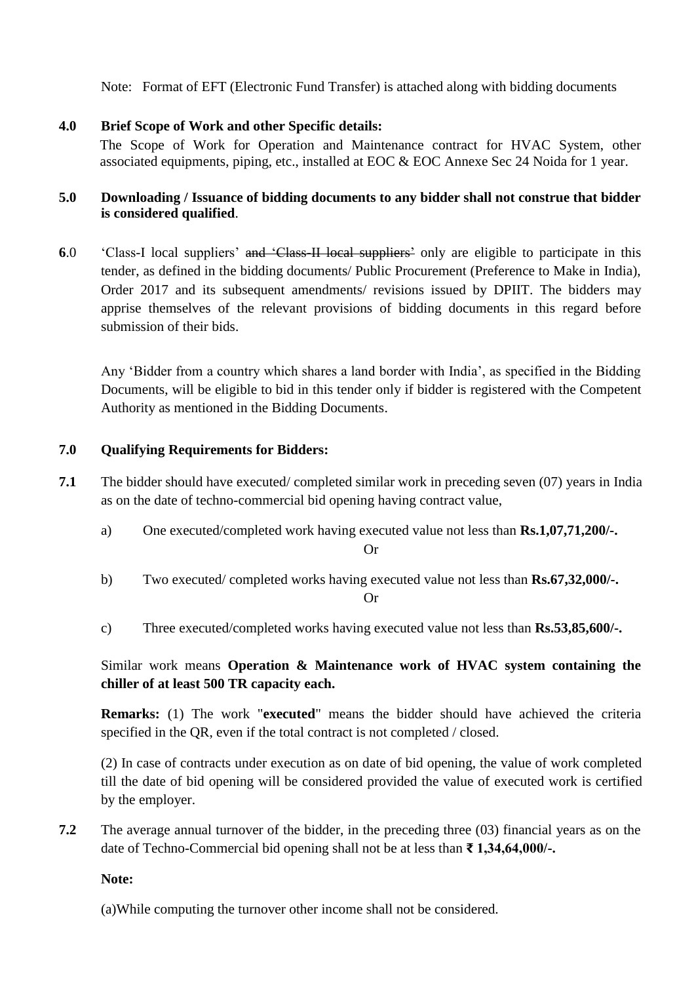Note: Format of EFT (Electronic Fund Transfer) is attached along with bidding documents

# **4.0 Brief Scope of Work and other Specific details:**

The Scope of Work for Operation and Maintenance contract for HVAC System, other associated equipments, piping, etc., installed at EOC & EOC Annexe Sec 24 Noida for 1 year.

## **5.0 Downloading / Issuance of bidding documents to any bidder shall not construe that bidder is considered qualified**.

**6.0** 'Class-I local suppliers' and 'Class-II local suppliers' only are eligible to participate in this tender, as defined in the bidding documents/ Public Procurement (Preference to Make in India), Order 2017 and its subsequent amendments/ revisions issued by DPIIT. The bidders may apprise themselves of the relevant provisions of bidding documents in this regard before submission of their bids.

Any 'Bidder from a country which shares a land border with India', as specified in the Bidding Documents, will be eligible to bid in this tender only if bidder is registered with the Competent Authority as mentioned in the Bidding Documents.

# **7.0 Qualifying Requirements for Bidders:**

- **7.1** The bidder should have executed/ completed similar work in preceding seven (07) years in India as on the date of techno-commercial bid opening having contract value,
	- a) One executed/completed work having executed value not less than **Rs.1,07,71,200/-.**

Or

- b) Two executed/ completed works having executed value not less than **Rs.67,32,000/-.** Or
- c) Three executed/completed works having executed value not less than **Rs.53,85,600/-.**

Similar work means **Operation & Maintenance work of HVAC system containing the chiller of at least 500 TR capacity each.** 

**Remarks:** (1) The work "**executed**" means the bidder should have achieved the criteria specified in the QR, even if the total contract is not completed / closed.

(2) In case of contracts under execution as on date of bid opening, the value of work completed till the date of bid opening will be considered provided the value of executed work is certified by the employer.

**7.2** The average annual turnover of the bidder, in the preceding three (03) financial years as on the date of Techno-Commercial bid opening shall not be at less than **₹ 1,34,64,000/-.**

**Note:**

(a)While computing the turnover other income shall not be considered.